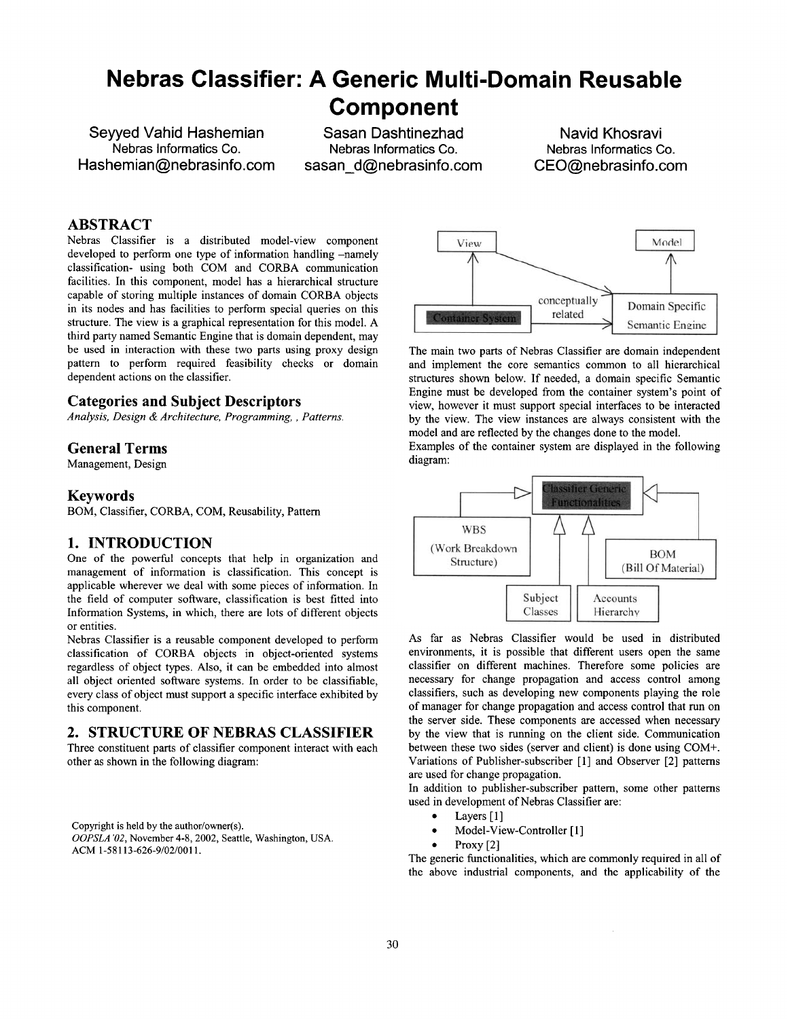# **Nebras Classifier: A Generic Multi-Domain Reusable Component**

**Sewed Vahid Hashemian Nebras Informatics Co. Hashemian@nebrasinfo.com** 

**Sasan Dashtinezhad Nebras Informatics Co. sasan\_d@nebrasinfo.com** 

**Navid Khosravi Nebras Informatics Co. CEO@nebrasinfo.com** 

## **ABSTRACT**

Nebras Classifier is a distributed model-view component developed to perform one type of information handling -namely classification- using both COM and CORBA communication facilities. In this component, model has a hierarchical structure capable of storing multiple instances of domain CORBA objects in its nodes and has facilities to perform special queries on this structure. The view is a graphical representation for this model. A third party named Semantic Engine that is domain dependent, may be used in interaction with these two parts using proxy design pattern to perform required feasibility checks or domain dependent actions on the classifier.

#### **Categories and Subject Descriptors**

*Analysis, Design & Architecture, Programming,, Patterns.* 

#### **General Terms**

Management, Design

#### **Keywords**

BOM, Classifier, CORBA, COM, Reusability, Pattem

#### **1. INTRODUCTION**

One of the powerful concepts that help in organization and management of information is classification. This concept is applicable wherever we deal with some pieces of information. In the field of computer software, classification is best fitted into Information Systems, in which, there are lots of different objects or entities.

Nebras Classifier is a reusable component developed to perform classification of CORBA objects in object-oriented systems regardless of object types. Also, it can be embedded into almost all object oriented software systems. In order to be classifiable, every class of object must support a specific interface exhibited by this component.

## **2. STRUCTURE OF NEBRAS CLASSIFIER**

Three constituent parts of classifier component interact with each other as shown in the following diagram:

Copyright is held by the author/owner(s). *OOPSLA '02,* November 4-8, 2002, Seattle, Washington, USA. ACM 1-58113-626-9/02/0011.



The main two parts of Nebras Classifier are domain independent and implement the core semantics common to all hierarchical structures shown below. If needed, a domain specific Semantic Engine must be developed from the container system's point of view, however it must support special interfaces to be interacted by the view. The view instances are always consistent with the model and are reflected by the changes done to the model.

Examples of the container system are displayed in the following diagram:



As far as Nebras Classifier would be used in distributed environments, it is possible that different users open the same classifier on different machines. Therefore some policies are necessary for change propagation and access control among classifiers, such as developing new components playing the role of manager for change propagation and access control that run on the server side. These components are accessed when necessary by the view that is running on the client side. Communication between these two sides (server and client) is done using COM+. Variations of Publisher-subscriber [1] and Observer [2] pattems are used for change propagation.

In addition to publisher-subscriber pattern, some other patterns used in development of Nebras Classifier are:

- $\bullet$  Layers [1]
- Model-View-Controller [1]
- Proxy [2]

The generic functionalities, which are commonly required in all of the above industrial components, and the applicability of the